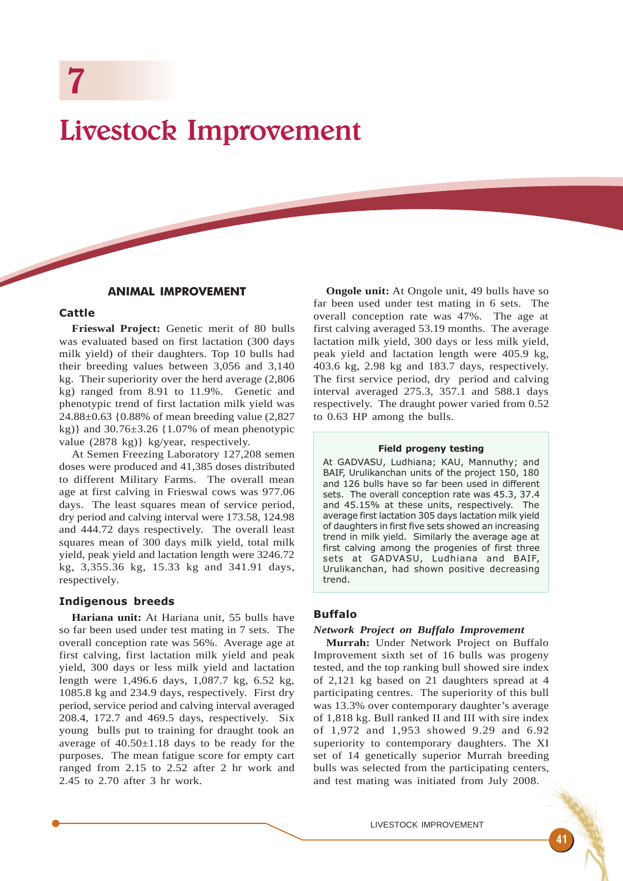# Livestock Improvement

# ANIMAL IMPROVEMENT

#### Cattle

**Frieswal Project:** Genetic merit of 80 bulls was evaluated based on first lactation (300 days milk yield) of their daughters. Top 10 bulls had their breeding values between 3,056 and 3,140 kg. Their superiority over the herd average (2,806 kg) ranged from 8.91 to 11.9%. Genetic and phenotypic trend of first lactation milk yield was 24.88±0.63 {0.88% of mean breeding value (2,827 kg)} and 30.76±3.26 {1.07% of mean phenotypic value (2878 kg)} kg/year, respectively.

At Semen Freezing Laboratory 127,208 semen doses were produced and 41,385 doses distributed to different Military Farms. The overall mean age at first calving in Frieswal cows was 977.06 days. The least squares mean of service period, dry period and calving interval were 173.58, 124.98 and 444.72 days respectively. The overall least squares mean of 300 days milk yield, total milk yield, peak yield and lactation length were 3246.72 kg, 3,355.36 kg, 15.33 kg and 341.91 days, respectively.

## Indigenous breeds

**Hariana unit:** At Hariana unit, 55 bulls have so far been used under test mating in 7 sets. The overall conception rate was 56%. Average age at first calving, first lactation milk yield and peak yield, 300 days or less milk yield and lactation length were 1,496.6 days, 1,087.7 kg, 6.52 kg, 1085.8 kg and 234.9 days, respectively. First dry period, service period and calving interval averaged 208.4, 172.7 and 469.5 days, respectively. Six young bulls put to training for draught took an average of 40.50±1.18 days to be ready for the purposes. The mean fatigue score for empty cart ranged from 2.15 to 2.52 after 2 hr work and 2.45 to 2.70 after 3 hr work.

**Ongole unit:** At Ongole unit, 49 bulls have so far been used under test mating in 6 sets. The overall conception rate was 47%. The age at first calving averaged 53.19 months. The average lactation milk yield, 300 days or less milk yield, peak yield and lactation length were 405.9 kg, 403.6 kg, 2.98 kg and 183.7 days, respectively. The first service period, dry period and calving interval averaged 275.3, 357.1 and 588.1 days respectively. The draught power varied from 0.52 to 0.63 HP among the bulls.

#### Field progeny testing

At GADVASU, Ludhiana; KAU, Mannuthy; and BAIF, Urulikanchan units of the project 150, 180 and 126 bulls have so far been used in different sets. The overall conception rate was 45.3, 37.4 and 45.15% at these units, respectively. The average first lactation 305 days lactation milk yield of daughters in first five sets showed an increasing trend in milk yield. Similarly the average age at first calving among the progenies of first three sets at GADVASU, Ludhiana and BAIF, Urulikanchan, had shown positive decreasing trend.

## Buffalo

#### *Network Project on Buffalo Improvement*

**Murrah:** Under Network Project on Buffalo Improvement sixth set of 16 bulls was progeny tested, and the top ranking bull showed sire index of 2,121 kg based on 21 daughters spread at 4 participating centres. The superiority of this bull was 13.3% over contemporary daughter's average of 1,818 kg. Bull ranked II and III with sire index of 1,972 and 1,953 showed 9.29 and 6.92 superiority to contemporary daughters. The XI set of 14 genetically superior Murrah breeding bulls was selected from the participating centers, and test mating was initiated from July 2008.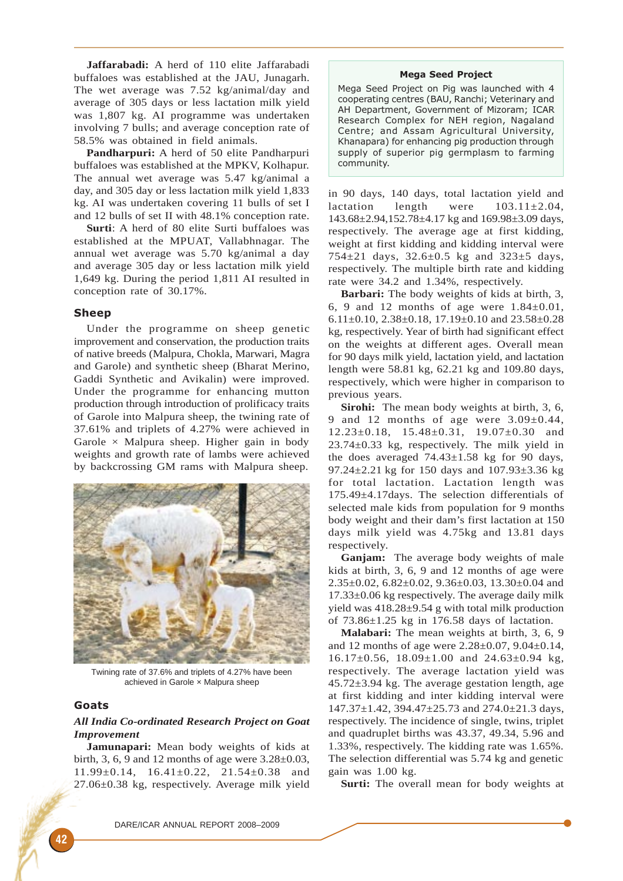**Jaffarabadi:** A herd of 110 elite Jaffarabadi buffaloes was established at the JAU, Junagarh. The wet average was 7.52 kg/animal/day and average of 305 days or less lactation milk yield was 1,807 kg. AI programme was undertaken involving 7 bulls; and average conception rate of 58.5% was obtained in field animals.

**Pandharpuri:** A herd of 50 elite Pandharpuri buffaloes was established at the MPKV, Kolhapur. The annual wet average was 5.47 kg/animal a day, and 305 day or less lactation milk yield 1,833 kg. AI was undertaken covering 11 bulls of set I and 12 bulls of set II with 48.1% conception rate.

**Surti**: A herd of 80 elite Surti buffaloes was established at the MPUAT, Vallabhnagar. The annual wet average was 5.70 kg/animal a day and average 305 day or less lactation milk yield 1,649 kg. During the period 1,811 AI resulted in conception rate of 30.17%.

## Sheep

Under the programme on sheep genetic improvement and conservation, the production traits of native breeds (Malpura, Chokla, Marwari, Magra and Garole) and synthetic sheep (Bharat Merino, Gaddi Synthetic and Avikalin) were improved. Under the programme for enhancing mutton production through introduction of prolificacy traits of Garole into Malpura sheep, the twining rate of 37.61% and triplets of 4.27% were achieved in Garole  $\times$  Malpura sheep. Higher gain in body weights and growth rate of lambs were achieved by backcrossing GM rams with Malpura sheep.



Twining rate of 37.6% and triplets of 4.27% have been achieved in Garole × Malpura sheep

## Goats

## *All India Co-ordinated Research Project on Goat Improvement*

**Jamunapari:** Mean body weights of kids at birth, 3, 6, 9 and 12 months of age were  $3.28\pm0.03$ , 11.99±0.14, 16.41±0.22, 21.54±0.38 and 27.06±0.38 kg, respectively. Average milk yield

#### Mega Seed Project

Mega Seed Project on Pig was launched with 4 cooperating centres (BAU, Ranchi; Veterinary and AH Department, Government of Mizoram; ICAR Research Complex for NEH region, Nagaland Centre; and Assam Agricultural University, Khanapara) for enhancing pig production through supply of superior pig germplasm to farming community.

in 90 days, 140 days, total lactation yield and lactation length were  $103.11 \pm 2.04$ , 143.68±2.94,152.78±4.17 kg and 169.98±3.09 days, respectively. The average age at first kidding, weight at first kidding and kidding interval were 754±21 days, 32.6±0.5 kg and 323±5 days, respectively. The multiple birth rate and kidding rate were 34.2 and 1.34%, respectively.

**Barbari:** The body weights of kids at birth, 3, 6, 9 and 12 months of age were  $1.84\pm0.01$ , 6.11±0.10, 2.38±0.18, 17.19±0.10 and 23.58±0.28 kg, respectively. Year of birth had significant effect on the weights at different ages. Overall mean for 90 days milk yield, lactation yield, and lactation length were 58.81 kg, 62.21 kg and 109.80 days, respectively, which were higher in comparison to previous years.

**Sirohi:** The mean body weights at birth, 3, 6, 9 and 12 months of age were  $3.09\pm0.44$ . 12.23±0.18, 15.48±0.31, 19.07±0.30 and 23.74±0.33 kg, respectively. The milk yield in the does averaged  $74.43 \pm 1.58$  kg for 90 days, 97.24±2.21 kg for 150 days and 107.93±3.36 kg for total lactation. Lactation length was 175.49±4.17days. The selection differentials of selected male kids from population for 9 months body weight and their dam's first lactation at 150 days milk yield was 4.75kg and 13.81 days respectively.

Ganiam: The average body weights of male kids at birth, 3, 6, 9 and 12 months of age were 2.35±0.02, 6.82±0.02, 9.36±0.03, 13.30±0.04 and 17.33±0.06 kg respectively. The average daily milk yield was 418.28±9.54 g with total milk production of 73.86±1.25 kg in 176.58 days of lactation.

**Malabari:** The mean weights at birth, 3, 6, 9 and 12 months of age were 2.28±0.07, 9.04±0.14, 16.17±0.56, 18.09±1.00 and 24.63±0.94 kg, respectively. The average lactation yield was  $45.72 \pm 3.94$  kg. The average gestation length, age at first kidding and inter kidding interval were 147.37±1.42, 394.47±25.73 and 274.0±21.3 days, respectively. The incidence of single, twins, triplet and quadruplet births was 43.37, 49.34, 5.96 and 1.33%, respectively. The kidding rate was 1.65%. The selection differential was 5.74 kg and genetic gain was 1.00 kg.

**Surti:** The overall mean for body weights at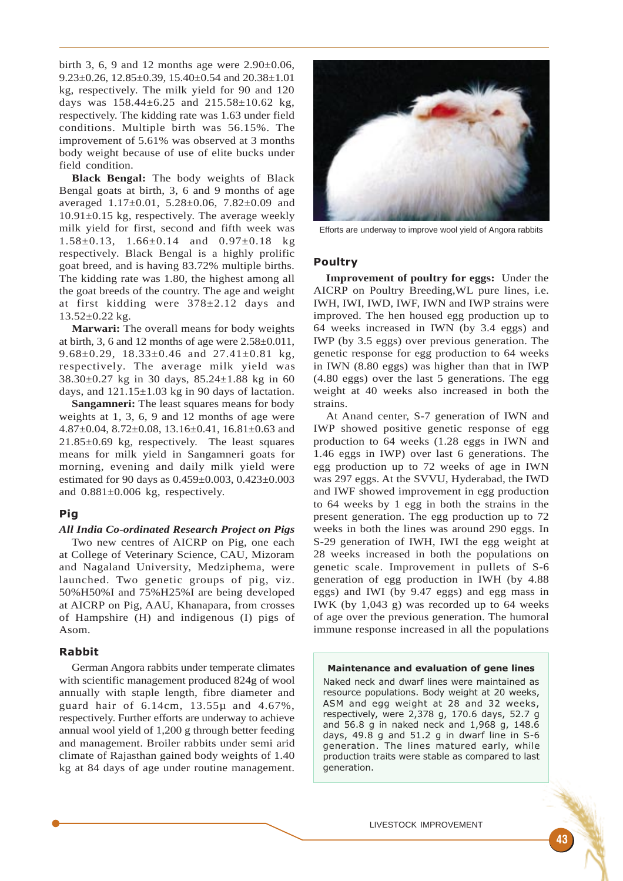birth 3, 6, 9 and 12 months age were  $2.90\pm0.06$ , 9.23±0.26, 12.85±0.39, 15.40±0.54 and 20.38±1.01 kg, respectively. The milk yield for 90 and 120 days was  $158.44 \pm 6.25$  and  $215.58 \pm 10.62$  kg, respectively. The kidding rate was 1.63 under field conditions. Multiple birth was 56.15%. The improvement of 5.61% was observed at 3 months body weight because of use of elite bucks under field condition.

**Black Bengal:** The body weights of Black Bengal goats at birth, 3, 6 and 9 months of age averaged 1.17±0.01, 5.28±0.06, 7.82±0.09 and  $10.91\pm0.15$  kg, respectively. The average weekly milk yield for first, second and fifth week was 1.58±0.13, 1.66±0.14 and 0.97±0.18 kg respectively. Black Bengal is a highly prolific goat breed, and is having 83.72% multiple births. The kidding rate was 1.80, the highest among all the goat breeds of the country. The age and weight at first kidding were 378±2.12 days and  $13.52 \pm 0.22$  kg.

**Marwari:** The overall means for body weights at birth, 3, 6 and 12 months of age were 2.58±0.011, 9.68 $\pm$ 0.29, 18.33 $\pm$ 0.46 and 27.41 $\pm$ 0.81 kg, respectively. The average milk yield was 38.30±0.27 kg in 30 days, 85.24±1.88 kg in 60 days, and  $121.15 \pm 1.03$  kg in 90 days of lactation.

**Sangamneri:** The least squares means for body weights at 1, 3, 6, 9 and 12 months of age were 4.87±0.04, 8.72±0.08, 13.16±0.41, 16.81±0.63 and 21.85±0.69 kg, respectively. The least squares means for milk yield in Sangamneri goats for morning, evening and daily milk yield were estimated for 90 days as 0.459±0.003, 0.423±0.003 and  $0.881\pm0.006$  kg, respectively.

# Pig

#### *All India Co-ordinated Research Project on Pigs*

Two new centres of AICRP on Pig, one each at College of Veterinary Science, CAU, Mizoram and Nagaland University, Medziphema, were launched. Two genetic groups of pig, viz. 50%H50%I and 75%H25%I are being developed at AICRP on Pig, AAU, Khanapara, from crosses of Hampshire (H) and indigenous (I) pigs of Asom.

## Rabbit

German Angora rabbits under temperate climates with scientific management produced 824g of wool annually with staple length, fibre diameter and guard hair of 6.14cm, 13.55µ and 4.67%, respectively. Further efforts are underway to achieve annual wool yield of 1,200 g through better feeding and management. Broiler rabbits under semi arid climate of Rajasthan gained body weights of 1.40 kg at 84 days of age under routine management.



Efforts are underway to improve wool yield of Angora rabbits

#### Poultry

**Improvement of poultry for eggs:** Under the AICRP on Poultry Breeding,WL pure lines, i.e. IWH, IWI, IWD, IWF, IWN and IWP strains were improved. The hen housed egg production up to 64 weeks increased in IWN (by 3.4 eggs) and IWP (by 3.5 eggs) over previous generation. The genetic response for egg production to 64 weeks in IWN (8.80 eggs) was higher than that in IWP (4.80 eggs) over the last 5 generations. The egg weight at 40 weeks also increased in both the strains.

At Anand center, S-7 generation of IWN and IWP showed positive genetic response of egg production to 64 weeks (1.28 eggs in IWN and 1.46 eggs in IWP) over last 6 generations. The egg production up to 72 weeks of age in IWN was 297 eggs. At the SVVU, Hyderabad, the IWD and IWF showed improvement in egg production to 64 weeks by 1 egg in both the strains in the present generation. The egg production up to 72 weeks in both the lines was around 290 eggs. In S-29 generation of IWH, IWI the egg weight at 28 weeks increased in both the populations on genetic scale. Improvement in pullets of S-6 generation of egg production in IWH (by 4.88 eggs) and IWI (by 9.47 eggs) and egg mass in IWK (by 1,043 g) was recorded up to 64 weeks of age over the previous generation. The humoral immune response increased in all the populations

#### Maintenance and evaluation of gene lines

Naked neck and dwarf lines were maintained as resource populations. Body weight at 20 weeks, ASM and egg weight at 28 and 32 weeks, respectively, were 2,378 g, 170.6 days, 52.7 g and 56.8 g in naked neck and 1,968 g, 148.6 days, 49.8 g and 51.2 g in dwarf line in S-6 generation. The lines matured early, while production traits were stable as compared to last generation.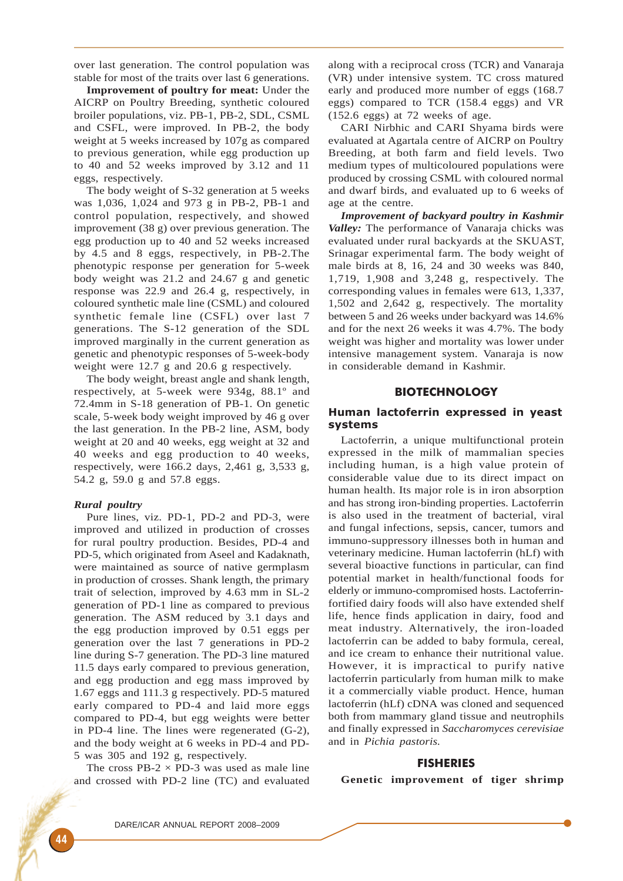over last generation. The control population was stable for most of the traits over last 6 generations.

**Improvement of poultry for meat:** Under the AICRP on Poultry Breeding, synthetic coloured broiler populations, viz. PB-1, PB-2, SDL, CSML and CSFL, were improved. In PB-2, the body weight at 5 weeks increased by 107g as compared to previous generation, while egg production up to 40 and 52 weeks improved by 3.12 and 11 eggs, respectively.

The body weight of S-32 generation at 5 weeks was 1,036, 1,024 and 973 g in PB-2, PB-1 and control population, respectively, and showed improvement (38 g) over previous generation. The egg production up to 40 and 52 weeks increased by 4.5 and 8 eggs, respectively, in PB-2.The phenotypic response per generation for 5-week body weight was 21.2 and 24.67 g and genetic response was 22.9 and 26.4 g, respectively, in coloured synthetic male line (CSML) and coloured synthetic female line (CSFL) over last 7 generations. The S-12 generation of the SDL improved marginally in the current generation as genetic and phenotypic responses of 5-week-body weight were 12.7 g and 20.6 g respectively.

The body weight, breast angle and shank length, respectively, at 5-week were 934g, 88.1º and 72.4mm in S-18 generation of PB-1. On genetic scale, 5-week body weight improved by 46 g over the last generation. In the PB-2 line, ASM, body weight at 20 and 40 weeks, egg weight at 32 and 40 weeks and egg production to 40 weeks, respectively, were 166.2 days, 2,461 g, 3,533 g, 54.2 g, 59.0 g and 57.8 eggs.

#### *Rural poultry*

Pure lines, viz. PD-1, PD-2 and PD-3, were improved and utilized in production of crosses for rural poultry production. Besides, PD-4 and PD-5, which originated from Aseel and Kadaknath, were maintained as source of native germplasm in production of crosses. Shank length, the primary trait of selection, improved by 4.63 mm in SL-2 generation of PD-1 line as compared to previous generation. The ASM reduced by 3.1 days and the egg production improved by 0.51 eggs per generation over the last 7 generations in PD-2 line during S-7 generation. The PD-3 line matured 11.5 days early compared to previous generation, and egg production and egg mass improved by 1.67 eggs and 111.3 g respectively. PD-5 matured early compared to PD-4 and laid more eggs compared to PD-4, but egg weights were better in PD-4 line. The lines were regenerated (G-2), and the body weight at 6 weeks in PD-4 and PD-5 was 305 and 192 g, respectively.

The cross  $PB-2 \times PD-3$  was used as male line and crossed with PD-2 line (TC) and evaluated along with a reciprocal cross (TCR) and Vanaraja (VR) under intensive system. TC cross matured early and produced more number of eggs (168.7 eggs) compared to TCR (158.4 eggs) and VR (152.6 eggs) at 72 weeks of age.

CARI Nirbhic and CARI Shyama birds were evaluated at Agartala centre of AICRP on Poultry Breeding, at both farm and field levels. Two medium types of multicoloured populations were produced by crossing CSML with coloured normal and dwarf birds, and evaluated up to 6 weeks of age at the centre.

*Improvement of backyard poultry in Kashmir Valley:* The performance of Vanaraja chicks was evaluated under rural backyards at the SKUAST, Srinagar experimental farm. The body weight of male birds at 8, 16, 24 and 30 weeks was 840, 1,719, 1,908 and 3,248 g, respectively. The corresponding values in females were 613, 1,337, 1,502 and 2,642 g, respectively. The mortality between 5 and 26 weeks under backyard was 14.6% and for the next 26 weeks it was 4.7%. The body weight was higher and mortality was lower under intensive management system. Vanaraja is now in considerable demand in Kashmir.

## BIOTECHNOLOGY

## Human lactoferrin expressed in yeast systems

Lactoferrin, a unique multifunctional protein expressed in the milk of mammalian species including human, is a high value protein of considerable value due to its direct impact on human health. Its major role is in iron absorption and has strong iron-binding properties. Lactoferrin is also used in the treatment of bacterial, viral and fungal infections, sepsis, cancer, tumors and immuno-suppressory illnesses both in human and veterinary medicine. Human lactoferrin (hLf) with several bioactive functions in particular, can find potential market in health/functional foods for elderly or immuno-compromised hosts. Lactoferrinfortified dairy foods will also have extended shelf life, hence finds application in dairy, food and meat industry. Alternatively, the iron-loaded lactoferrin can be added to baby formula, cereal, and ice cream to enhance their nutritional value. However, it is impractical to purify native lactoferrin particularly from human milk to make it a commercially viable product. Hence, human lactoferrin (hLf) cDNA was cloned and sequenced both from mammary gland tissue and neutrophils and finally expressed in *Saccharomyces cerevisiae* and in *Pichia pastoris.*

## FISHERIES

**Genetic improvement of tiger shrimp**